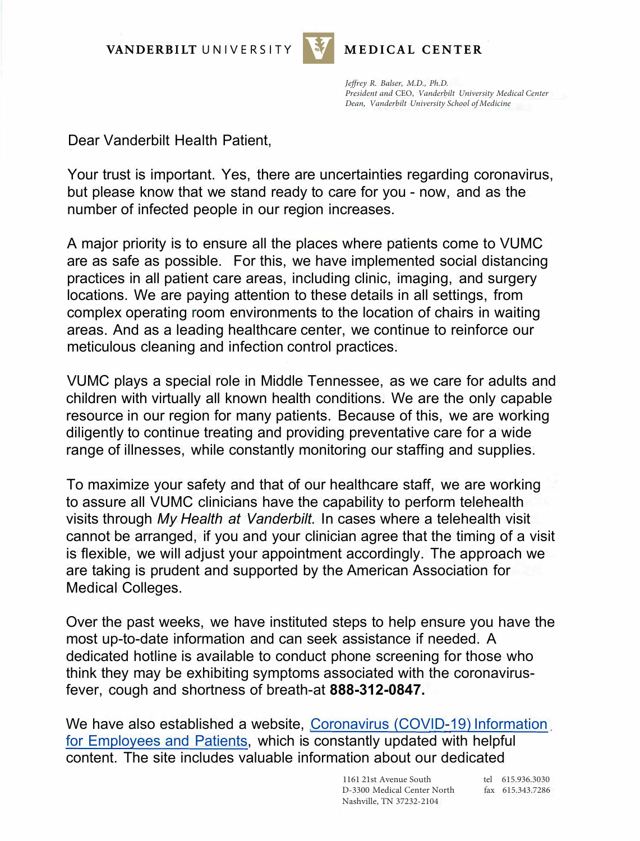VANDERBILT UNIVERSITY



MEDICAL CENTER

*Jeffrey R. Balser, M.D., Ph.D. President and* CEO, *Vanderbilt University Medical Center Dean, Vanderbilt University School of Medicine* 

Dear Vanderbilt Health Patient,

Your trust is important. Yes, there are uncertainties regarding coronavirus, but please know that we stand ready to care for you - now, and as the number of infected people in our region increases.

A major priority is to ensure all the places where patients come to VUMC are as safe as possible. For this, we have implemented social distancing practices in all patient care areas, including clinic, imaging, and surgery locations. We are paying attention to these details in all settings, from complex operating room environments to the location of chairs in waiting areas. And as a leading healthcare center, we continue to reinforce our meticulous cleaning and infection control practices.

VUMC plays a special role in Middle Tennessee, as we care for adults and children with virtually all known health conditions. We are the only capable resource in our region for many patients. Because of this, we are working diligently to continue treating and providing preventative care for a wide range of illnesses, while constantly monitoring our staffing and supplies.

To maximize your safety and that of our healthcare staff, we are working to assure all VUMC clinicians have the capability to perform telehealth visits through *My Health at Vanderbilt.* In cases where a telehealth visit cannot be arranged, if you and your clinician agree that the timing of a visit is flexible, we will adjust your appointment accordingly. The approach we are taking is prudent and supported by the American Association for Medical Colleges.

Over the past weeks, we have instituted steps to help ensure you have the most up-to-date information and can seek assistance if needed. A dedicated hotline is available to conduct phone screening for those who think they may be exhibiting symptoms associated with the coronavirusfever, cough and shortness of breath-at **888-312-0847.**

We have also established a website, Coronavirus (COVID-19) Information [for Employees and Patients, which is constantly updated with helpful](https://www.vumc.org/coronavirus/information-vumc-employees-and-patients)  content. The site includes valuable information about our dedicated

> 1161 21st Avenue South D-3300 Medical Center North Nashville, TN 37232-2104

tel 615.936.3030 fax 615.343.7286